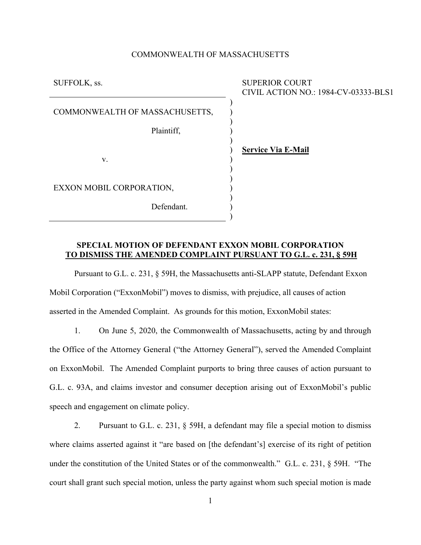### COMMONWEALTH OF MASSACHUSETTS

| CIVIL ACTION NO.: 1984-CV-03333-BLS1 |
|--------------------------------------|
|                                      |
|                                      |
|                                      |
|                                      |
|                                      |
|                                      |
|                                      |

# **SPECIAL MOTION OF DEFENDANT EXXON MOBIL CORPORATION TO DISMISS THE AMENDED COMPLAINT PURSUANT TO G.L. c. 231, § 59H**

Pursuant to G.L. c. 231, § 59H, the Massachusetts anti-SLAPP statute, Defendant Exxon Mobil Corporation ("ExxonMobil") moves to dismiss, with prejudice, all causes of action asserted in the Amended Complaint. As grounds for this motion, ExxonMobil states:

1. On June 5, 2020, the Commonwealth of Massachusetts, acting by and through the Office of the Attorney General ("the Attorney General"), served the Amended Complaint on ExxonMobil. The Amended Complaint purports to bring three causes of action pursuant to G.L. c. 93A, and claims investor and consumer deception arising out of ExxonMobil's public speech and engagement on climate policy.

2. Pursuant to G.L. c. 231, § 59H, a defendant may file a special motion to dismiss where claims asserted against it "are based on [the defendant's] exercise of its right of petition under the constitution of the United States or of the commonwealth." G.L. c. 231, § 59H. "The court shall grant such special motion, unless the party against whom such special motion is made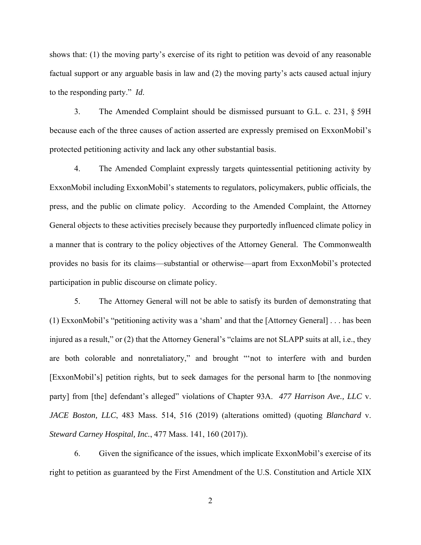shows that: (1) the moving party's exercise of its right to petition was devoid of any reasonable factual support or any arguable basis in law and (2) the moving party's acts caused actual injury to the responding party." *Id*.

3. The Amended Complaint should be dismissed pursuant to G.L. c. 231, § 59H because each of the three causes of action asserted are expressly premised on ExxonMobil's protected petitioning activity and lack any other substantial basis.

4. The Amended Complaint expressly targets quintessential petitioning activity by ExxonMobil including ExxonMobil's statements to regulators, policymakers, public officials, the press, and the public on climate policy. According to the Amended Complaint, the Attorney General objects to these activities precisely because they purportedly influenced climate policy in a manner that is contrary to the policy objectives of the Attorney General. The Commonwealth provides no basis for its claims—substantial or otherwise—apart from ExxonMobil's protected participation in public discourse on climate policy.

5. The Attorney General will not be able to satisfy its burden of demonstrating that (1) ExxonMobil's "petitioning activity was a 'sham' and that the [Attorney General] . . . has been injured as a result," or (2) that the Attorney General's "claims are not SLAPP suits at all, i.e., they are both colorable and nonretaliatory," and brought "'not to interfere with and burden [ExxonMobil's] petition rights, but to seek damages for the personal harm to [the nonmoving party] from [the] defendant's alleged" violations of Chapter 93A. *477 Harrison Ave., LLC* v. *JACE Boston, LLC*, 483 Mass. 514, 516 (2019) (alterations omitted) (quoting *Blanchard* v. *Steward Carney Hospital, Inc.*, 477 Mass. 141, 160 (2017)).

6. Given the significance of the issues, which implicate ExxonMobil's exercise of its right to petition as guaranteed by the First Amendment of the U.S. Constitution and Article XIX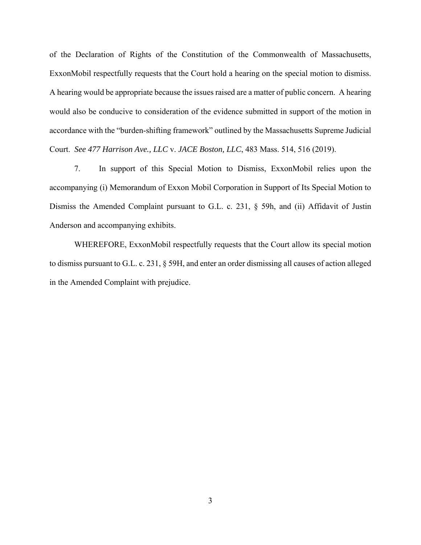of the Declaration of Rights of the Constitution of the Commonwealth of Massachusetts, ExxonMobil respectfully requests that the Court hold a hearing on the special motion to dismiss. A hearing would be appropriate because the issues raised are a matter of public concern. A hearing would also be conducive to consideration of the evidence submitted in support of the motion in accordance with the "burden-shifting framework" outlined by the Massachusetts Supreme Judicial Court. *See 477 Harrison Ave., LLC* v. *JACE Boston, LLC*, 483 Mass. 514, 516 (2019).

7. In support of this Special Motion to Dismiss, ExxonMobil relies upon the accompanying (i) Memorandum of Exxon Mobil Corporation in Support of Its Special Motion to Dismiss the Amended Complaint pursuant to G.L. c. 231, § 59h, and (ii) Affidavit of Justin Anderson and accompanying exhibits.

WHEREFORE, ExxonMobil respectfully requests that the Court allow its special motion to dismiss pursuant to G.L. c. 231, § 59H, and enter an order dismissing all causes of action alleged in the Amended Complaint with prejudice.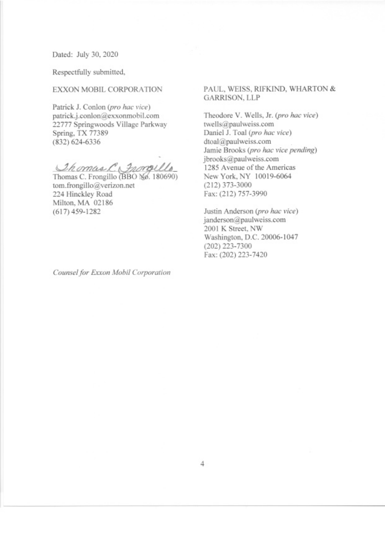Dated: July 30, 2020

Respectfully submitted,

### EXXON MOBIL CORPORATION

Patrick J. Conlon (pro hac vice) patrick.j.conlon@exxonmobil.com 22777 Springwoods Village Parkway Spring, TX 77389  $(832) 624 - 6336$ 

Chomas C Grongello

tom.frongillo@verizon.net 224 Hinckley Road Milton, MA 02186  $(617)$  459-1282

Counsel for Exxon Mobil Corporation

### PAUL, WEISS, RIFKIND, WHARTON & **GARRISON, LLP**

Theodore V. Wells, Jr. (pro hac vice) twells@paulweiss.com Daniel J. Toal (pro hac vice) dtoal@paulweiss.com Jamie Brooks (pro hac vice pending) jbrooks@paulweiss.com 1285 Avenue of the Americas New York, NY 10019-6064  $(212)$  373-3000 Fax: (212) 757-3990

Justin Anderson (pro hac vice) janderson@paulweiss.com 2001 K Street, NW Washington, D.C. 20006-1047  $(202)$  223-7300 Fax: (202) 223-7420